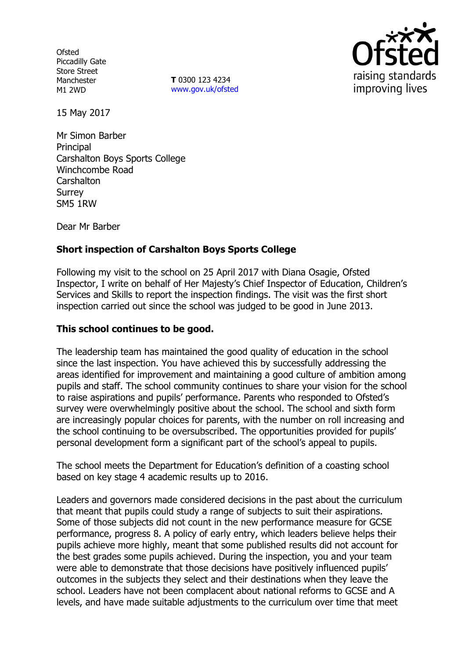**Ofsted** Piccadilly Gate Store Street Manchester M1 2WD

**T** 0300 123 4234 www.gov.uk/ofsted



15 May 2017

Mr Simon Barber **Principal** Carshalton Boys Sports College Winchcombe Road **Carshalton** Surrey SM5 1RW

Dear Mr Barber

# **Short inspection of Carshalton Boys Sports College**

Following my visit to the school on 25 April 2017 with Diana Osagie, Ofsted Inspector, I write on behalf of Her Majesty's Chief Inspector of Education, Children's Services and Skills to report the inspection findings. The visit was the first short inspection carried out since the school was judged to be good in June 2013.

### **This school continues to be good.**

The leadership team has maintained the good quality of education in the school since the last inspection. You have achieved this by successfully addressing the areas identified for improvement and maintaining a good culture of ambition among pupils and staff. The school community continues to share your vision for the school to raise aspirations and pupils' performance. Parents who responded to Ofsted's survey were overwhelmingly positive about the school. The school and sixth form are increasingly popular choices for parents, with the number on roll increasing and the school continuing to be oversubscribed. The opportunities provided for pupils' personal development form a significant part of the school's appeal to pupils.

The school meets the Department for Education's definition of a coasting school based on key stage 4 academic results up to 2016.

Leaders and governors made considered decisions in the past about the curriculum that meant that pupils could study a range of subjects to suit their aspirations. Some of those subjects did not count in the new performance measure for GCSE performance, progress 8. A policy of early entry, which leaders believe helps their pupils achieve more highly, meant that some published results did not account for the best grades some pupils achieved. During the inspection, you and your team were able to demonstrate that those decisions have positively influenced pupils' outcomes in the subjects they select and their destinations when they leave the school. Leaders have not been complacent about national reforms to GCSE and A levels, and have made suitable adjustments to the curriculum over time that meet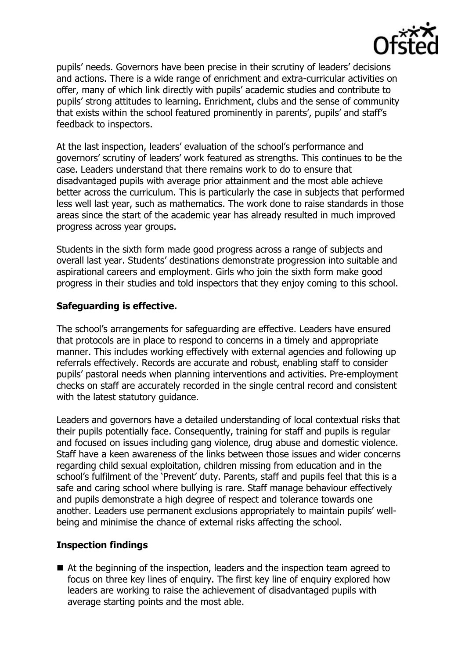

pupils' needs. Governors have been precise in their scrutiny of leaders' decisions and actions. There is a wide range of enrichment and extra-curricular activities on offer, many of which link directly with pupils' academic studies and contribute to pupils' strong attitudes to learning. Enrichment, clubs and the sense of community that exists within the school featured prominently in parents', pupils' and staff's feedback to inspectors.

At the last inspection, leaders' evaluation of the school's performance and governors' scrutiny of leaders' work featured as strengths. This continues to be the case. Leaders understand that there remains work to do to ensure that disadvantaged pupils with average prior attainment and the most able achieve better across the curriculum. This is particularly the case in subjects that performed less well last year, such as mathematics. The work done to raise standards in those areas since the start of the academic year has already resulted in much improved progress across year groups.

Students in the sixth form made good progress across a range of subjects and overall last year. Students' destinations demonstrate progression into suitable and aspirational careers and employment. Girls who join the sixth form make good progress in their studies and told inspectors that they enjoy coming to this school.

#### **Safeguarding is effective.**

The school's arrangements for safeguarding are effective. Leaders have ensured that protocols are in place to respond to concerns in a timely and appropriate manner. This includes working effectively with external agencies and following up referrals effectively. Records are accurate and robust, enabling staff to consider pupils' pastoral needs when planning interventions and activities. Pre-employment checks on staff are accurately recorded in the single central record and consistent with the latest statutory guidance.

Leaders and governors have a detailed understanding of local contextual risks that their pupils potentially face. Consequently, training for staff and pupils is regular and focused on issues including gang violence, drug abuse and domestic violence. Staff have a keen awareness of the links between those issues and wider concerns regarding child sexual exploitation, children missing from education and in the school's fulfilment of the 'Prevent' duty. Parents, staff and pupils feel that this is a safe and caring school where bullying is rare. Staff manage behaviour effectively and pupils demonstrate a high degree of respect and tolerance towards one another. Leaders use permanent exclusions appropriately to maintain pupils' wellbeing and minimise the chance of external risks affecting the school.

# **Inspection findings**

■ At the beginning of the inspection, leaders and the inspection team agreed to focus on three key lines of enquiry. The first key line of enquiry explored how leaders are working to raise the achievement of disadvantaged pupils with average starting points and the most able.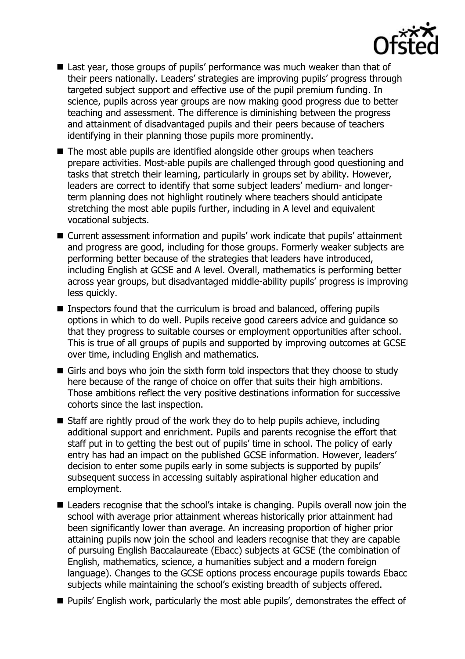

- Last year, those groups of pupils' performance was much weaker than that of their peers nationally. Leaders' strategies are improving pupils' progress through targeted subject support and effective use of the pupil premium funding. In science, pupils across year groups are now making good progress due to better teaching and assessment. The difference is diminishing between the progress and attainment of disadvantaged pupils and their peers because of teachers identifying in their planning those pupils more prominently.
- $\blacksquare$  The most able pupils are identified alongside other groups when teachers prepare activities. Most-able pupils are challenged through good questioning and tasks that stretch their learning, particularly in groups set by ability. However, leaders are correct to identify that some subject leaders' medium- and longerterm planning does not highlight routinely where teachers should anticipate stretching the most able pupils further, including in A level and equivalent vocational subjects.
- Current assessment information and pupils' work indicate that pupils' attainment and progress are good, including for those groups. Formerly weaker subjects are performing better because of the strategies that leaders have introduced, including English at GCSE and A level. Overall, mathematics is performing better across year groups, but disadvantaged middle-ability pupils' progress is improving less quickly.
- Inspectors found that the curriculum is broad and balanced, offering pupils options in which to do well. Pupils receive good careers advice and guidance so that they progress to suitable courses or employment opportunities after school. This is true of all groups of pupils and supported by improving outcomes at GCSE over time, including English and mathematics.
- Girls and boys who join the sixth form told inspectors that they choose to study here because of the range of choice on offer that suits their high ambitions. Those ambitions reflect the very positive destinations information for successive cohorts since the last inspection.
- Staff are rightly proud of the work they do to help pupils achieve, including additional support and enrichment. Pupils and parents recognise the effort that staff put in to getting the best out of pupils' time in school. The policy of early entry has had an impact on the published GCSE information. However, leaders' decision to enter some pupils early in some subjects is supported by pupils' subsequent success in accessing suitably aspirational higher education and employment.
- Leaders recognise that the school's intake is changing. Pupils overall now join the school with average prior attainment whereas historically prior attainment had been significantly lower than average. An increasing proportion of higher prior attaining pupils now join the school and leaders recognise that they are capable of pursuing English Baccalaureate (Ebacc) subjects at GCSE (the combination of English, mathematics, science, a humanities subject and a modern foreign language). Changes to the GCSE options process encourage pupils towards Ebacc subjects while maintaining the school's existing breadth of subjects offered.
- **Pupils' English work, particularly the most able pupils', demonstrates the effect of**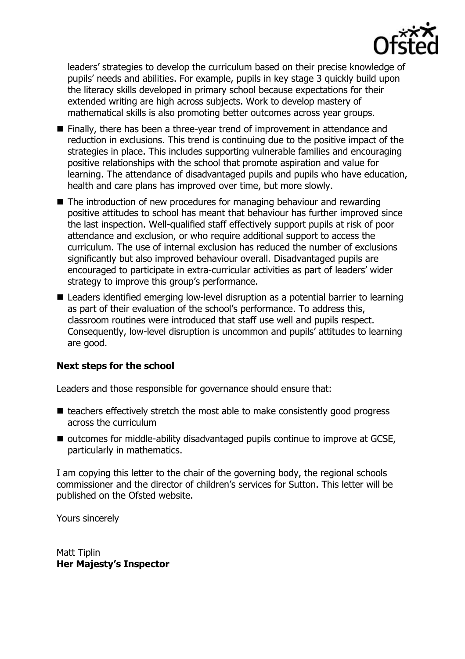

leaders' strategies to develop the curriculum based on their precise knowledge of pupils' needs and abilities. For example, pupils in key stage 3 quickly build upon the literacy skills developed in primary school because expectations for their extended writing are high across subjects. Work to develop mastery of mathematical skills is also promoting better outcomes across year groups.

- Finally, there has been a three-year trend of improvement in attendance and reduction in exclusions. This trend is continuing due to the positive impact of the strategies in place. This includes supporting vulnerable families and encouraging positive relationships with the school that promote aspiration and value for learning. The attendance of disadvantaged pupils and pupils who have education, health and care plans has improved over time, but more slowly.
- The introduction of new procedures for managing behaviour and rewarding positive attitudes to school has meant that behaviour has further improved since the last inspection. Well-qualified staff effectively support pupils at risk of poor attendance and exclusion, or who require additional support to access the curriculum. The use of internal exclusion has reduced the number of exclusions significantly but also improved behaviour overall. Disadvantaged pupils are encouraged to participate in extra-curricular activities as part of leaders' wider strategy to improve this group's performance.
- Leaders identified emerging low-level disruption as a potential barrier to learning as part of their evaluation of the school's performance. To address this, classroom routines were introduced that staff use well and pupils respect. Consequently, low-level disruption is uncommon and pupils' attitudes to learning are good.

#### **Next steps for the school**

Leaders and those responsible for governance should ensure that:

- $\blacksquare$  teachers effectively stretch the most able to make consistently good progress across the curriculum
- outcomes for middle-ability disadvantaged pupils continue to improve at GCSE, particularly in mathematics.

I am copying this letter to the chair of the governing body, the regional schools commissioner and the director of children's services for Sutton. This letter will be published on the Ofsted website.

Yours sincerely

Matt Tiplin **Her Majesty's Inspector**